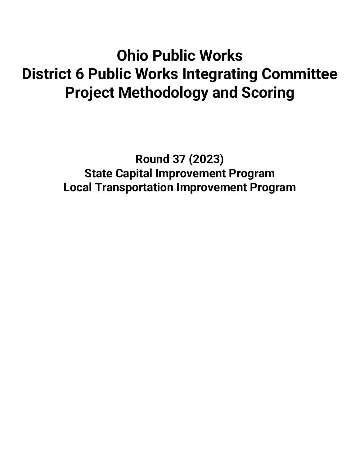# **Ohio Public Works District 6 Public Works Integrating Committee Project Methodology and Scoring**

**Round 37 (2023) State Capital Improvement Program Local Transportation Improvement Program**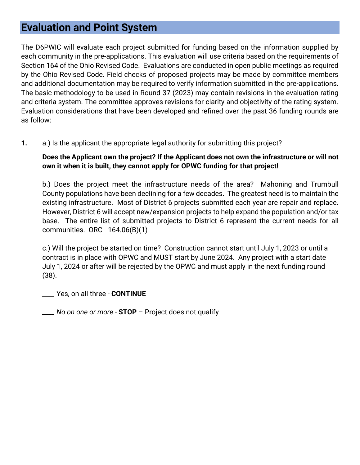# **Evaluation and Point System**

The D6PWIC will evaluate each project submitted for funding based on the information supplied by each community in the pre-applications. This evaluation will use criteria based on the requirements of Section 164 of the Ohio Revised Code. Evaluations are conducted in open public meetings as required by the Ohio Revised Code. Field checks of proposed projects may be made by committee members and additional documentation may be required to verify information submitted in the pre-applications. The basic methodology to be used in Round 37 (2023) may contain revisions in the evaluation rating and criteria system. The committee approves revisions for clarity and objectivity of the rating system. Evaluation considerations that have been developed and refined over the past 36 funding rounds are as follow:

**1.** a.) Is the applicant the appropriate legal authority for submitting this project?

## **Does the Applicant own the project? If the Applicant does not own the infrastructure or will not own it when it is built, they cannot apply for OPWC funding for that project!**

b.) Does the project meet the infrastructure needs of the area? Mahoning and Trumbull County populations have been declining for a few decades. The greatest need is to maintain the existing infrastructure. Most of District 6 projects submitted each year are repair and replace. However, District 6 will accept new/expansion projects to help expand the population and/or tax base. The entire list of submitted projects to District 6 represent the current needs for all communities. ORC - 164.06(B)(1)

c.) Will the project be started on time? Construction cannot start until July 1, 2023 or until a contract is in place with OPWC and MUST start by June 2024. Any project with a start date July 1, 2024 or after will be rejected by the OPWC and must apply in the next funding round (38).

*\_\_\_\_* Yes, on all three - **CONTINUE**

*\_\_\_\_ No on one or more -* **STOP** – Project does not qualify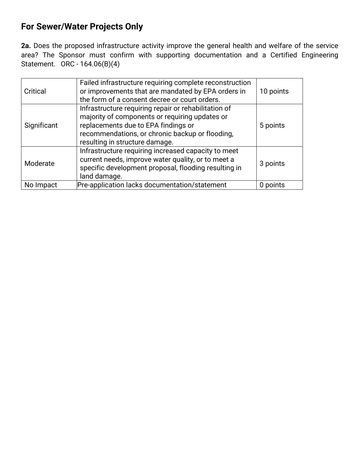## **For Sewer/Water Projects Only**

**2a.** Does the proposed infrastructure activity improve the general health and welfare of the service area? The Sponsor must confirm with supporting documentation and a Certified Engineering Statement. ORC - 164.06(B)(4)

| Critical    | Failed infrastructure requiring complete reconstruction<br>or improvements that are mandated by EPA orders in<br>the form of a consent decree or court orders.                                                                     | 10 points |
|-------------|------------------------------------------------------------------------------------------------------------------------------------------------------------------------------------------------------------------------------------|-----------|
| Significant | Infrastructure requiring repair or rehabilitation of<br>majority of components or requiring updates or<br>replacements due to EPA findings or<br>recommendations, or chronic backup or flooding,<br>resulting in structure damage. | 5 points  |
| Moderate    | Infrastructure requiring increased capacity to meet<br>current needs, improve water quality, or to meet a<br>specific development proposal, flooding resulting in<br>land damage.                                                  | 3 points  |
| No Impact   | Pre-application lacks documentation/statement                                                                                                                                                                                      | 0 points  |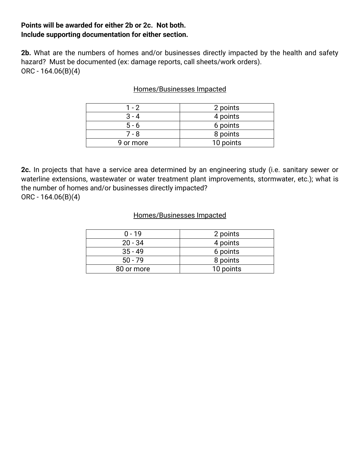## **Points will be awarded for either 2b or 2c. Not both. Include supporting documentation for either section.**

**2b.** What are the numbers of homes and/or businesses directly impacted by the health and safety hazard? Must be documented (ex: damage reports, call sheets/work orders). ORC - 164.06(B)(4)

## Homes/Businesses Impacted

| $1 - 2$   | 2 points  |
|-----------|-----------|
| $3 - 4$   | 4 points  |
| $5 - 6$   | 6 points  |
| 7 - 8     | 8 points  |
| 9 or more | 10 points |

**2c.** In projects that have a service area determined by an engineering study (i.e. sanitary sewer or waterline extensions, wastewater or water treatment plant improvements, stormwater, etc.); what is the number of homes and/or businesses directly impacted? ORC - 164.06(B)(4)

#### Homes/Businesses Impacted

| $0 - 19$   | 2 points  |
|------------|-----------|
| $20 - 34$  | 4 points  |
| $35 - 49$  | 6 points  |
| $50 - 79$  | 8 points  |
| 80 or more | 10 points |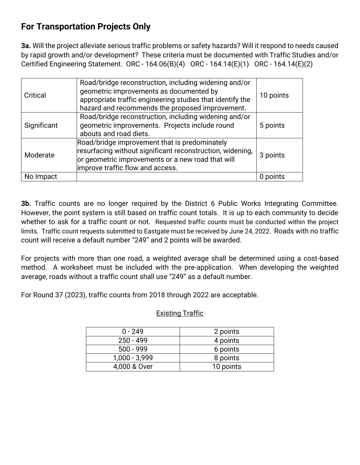## **For Transportation Projects Only**

**3a.** Will the project alleviate serious traffic problems or safety hazards? Will it respond to needs caused by rapid growth and/or development? These criteria must be documented with Traffic Studies and/or Certified Engineering Statement. ORC - 164.06(B)(4) ORC - 164.14(E)(1) ORC - 164.14(E)(2)

| Critical    | Road/bridge reconstruction, including widening and/or<br>geometric improvements as documented by<br>appropriate traffic engineering studies that identify the<br>hazard and recommends the proposed improvement. | 10 points |
|-------------|------------------------------------------------------------------------------------------------------------------------------------------------------------------------------------------------------------------|-----------|
| Significant | Road/bridge reconstruction, including widening and/or<br>geometric improvements. Projects include round<br>abouts and road diets.                                                                                | 5 points  |
| Moderate    | Road/bridge improvement that is predominately<br>resurfacing without significant reconstruction, widening,<br>or geometric improvements or a new road that will<br>improve traffic flow and access.              | 3 points  |
| No Impact   |                                                                                                                                                                                                                  | 0 points  |

**3b.** Traffic counts are no longer required by the District 6 Public Works Integrating Committee. However, the point system is still based on traffic count totals. It is up to each community to decide whether to ask for a traffic count or not. Requested traffic counts must be conducted within the project limits. Traffic count requests submitted to Eastgate must be received by June 24, 2022. Roads with no traffic count will receive a default number "249" and 2 points will be awarded.

For projects with more than one road, a weighted average shall be determined using a cost-based method. A worksheet must be included with the pre-application. When developing the weighted average, roads without a traffic count shall use "249" as a default number.

For Round 37 (2023), traffic counts from 2018 through 2022 are acceptable.

## Existing Traffic

| $0 - 249$       | 2 points  |
|-----------------|-----------|
| $250 - 499$     | 4 points  |
| $500 - 999$     | 6 points  |
| $1,000 - 3,999$ | 8 points  |
| 4,000 & Over    | 10 points |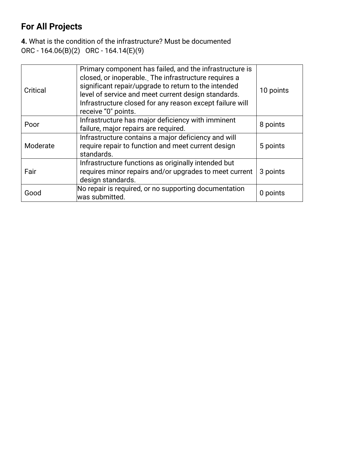## **For All Projects**

**4.** What is the condition of the infrastructure? Must be documented ORC - 164.06(B)(2) ORC - 164.14(E)(9)

| Critical | Primary component has failed, and the infrastructure is<br>closed, or inoperable. The infrastructure requires a<br>significant repair/upgrade to return to the intended<br>level of service and meet current design standards.<br>Infrastructure closed for any reason except failure will<br>receive "0" points. | 10 points |
|----------|-------------------------------------------------------------------------------------------------------------------------------------------------------------------------------------------------------------------------------------------------------------------------------------------------------------------|-----------|
| Poor     | Infrastructure has major deficiency with imminent<br>failure, major repairs are required.                                                                                                                                                                                                                         | 8 points  |
| Moderate | Infrastructure contains a major deficiency and will<br>require repair to function and meet current design<br>standards.                                                                                                                                                                                           | 5 points  |
| Fair     | Infrastructure functions as originally intended but<br>requires minor repairs and/or upgrades to meet current<br>design standards.                                                                                                                                                                                | 3 points  |
| Good     | No repair is required, or no supporting documentation<br>was submitted.                                                                                                                                                                                                                                           | 0 points  |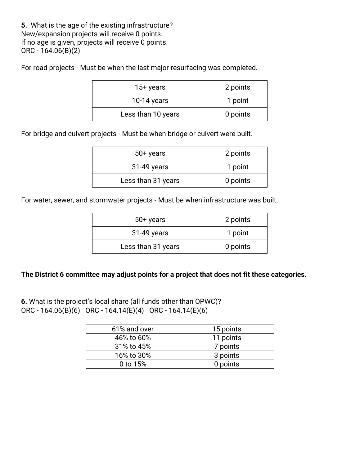**5.** What is the age of the existing infrastructure? New/expansion projects will receive 0 points. If no age is given, projects will receive 0 points. ORC - 164.06(B)(2)

For road projects - Must be when the last major resurfacing was completed.

| $15+$ years        | 2 points |
|--------------------|----------|
| $10-14$ years      | 1 point  |
| Less than 10 years | 0 points |

For bridge and culvert projects - Must be when bridge or culvert were built.

| $50+$ years        | 2 points |
|--------------------|----------|
| 31-49 years        | 1 point  |
| Less than 31 years | 0 points |

For water, sewer, and stormwater projects - Must be when infrastructure was built.

| $50+$ years        | 2 points |
|--------------------|----------|
| 31-49 years        | 1 point  |
| Less than 31 years | 0 points |

## **The District 6 committee may adjust points for a project that does not fit these categories.**

**6.** What is the project's local share (all funds other than OPWC)? ORC - 164.06(B)(6) ORC - 164.14(E)(4) ORC - 164.14(E)(6)

| 61% and over | 15 points |
|--------------|-----------|
| 46% to 60%   | 11 points |
| 31% to 45%   | 7 points  |
| 16% to 30%   | 3 points  |
| 0 to 15%     | 0 points  |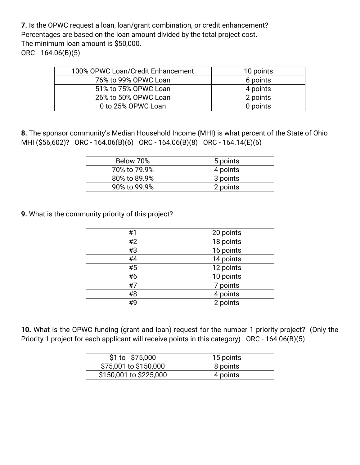**7.** Is the OPWC request a loan, loan/grant combination, or credit enhancement? Percentages are based on the loan amount divided by the total project cost. The minimum loan amount is \$50,000. ORC - 164.06(B)(5)

| 100% OPWC Loan/Credit Enhancement | 10 points |
|-----------------------------------|-----------|
| 76% to 99% OPWC Loan              | 6 points  |
| 51% to 75% OPWC Loan              | 4 points  |
| 26% to 50% OPWC Loan              | 2 points  |
| 0 to 25% OPWC Loan                | 0 points  |

**8.** The sponsor community's Median Household Income (MHI) is what percent of the State of Ohio MHI (\$56,602)? ORC - 164.06(B)(6) ORC - 164.06(B)(8) ORC - 164.14(E)(6)

| Below 70%    | 5 points |
|--------------|----------|
| 70% to 79.9% | 4 points |
| 80% to 89.9% | 3 points |
| 90% to 99.9% | 2 points |

**9.** What is the community priority of this project?

| #1 | 20 points |
|----|-----------|
| #2 | 18 points |
| #3 | 16 points |
| #4 | 14 points |
| #5 | 12 points |
| #6 | 10 points |
| #7 | 7 points  |
| #8 | 4 points  |
| #9 | 2 points  |

**10.** What is the OPWC funding (grant and loan) request for the number 1 priority project? (Only the Priority 1 project for each applicant will receive points in this category) ORC - 164.06(B)(5)

| \$1 to \$75,000        | 15 points |
|------------------------|-----------|
| \$75,001 to \$150,000  | 8 points  |
| \$150,001 to \$225,000 | 4 points  |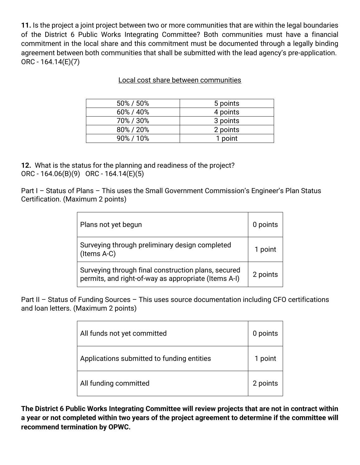**11.** Is the project a joint project between two or more communities that are within the legal boundaries of the District 6 Public Works Integrating Committee? Both communities must have a financial commitment in the local share and this commitment must be documented through a legally binding agreement between both communities that shall be submitted with the lead agency's pre-application. ORC - 164.14(E)(7)

| 50% / 50% | 5 points |
|-----------|----------|
| 60% / 40% | 4 points |
| 70%/30%   | 3 points |
| 80%/20%   | 2 points |
| 90%/10%   | 1 point  |

## Local cost share between communities

**12.** What is the status for the planning and readiness of the project? ORC - 164.06(B)(9) ORC - 164.14(E)(5)

Part I - Status of Plans - This uses the Small Government Commission's Engineer's Plan Status Certification. (Maximum 2 points)

| Plans not yet begun                                                                                         | 0 points |
|-------------------------------------------------------------------------------------------------------------|----------|
| Surveying through preliminary design completed<br>(Items A-C)                                               | 1 point  |
| Surveying through final construction plans, secured<br>permits, and right-of-way as appropriate (Items A-I) | 2 points |

Part II – Status of Funding Sources – This uses source documentation including CFO certifications and loan letters. (Maximum 2 points)

| All funds not yet committed                | 0 points |
|--------------------------------------------|----------|
| Applications submitted to funding entities | 1 point  |
| All funding committed                      | 2 points |

**The District 6 Public Works Integrating Committee will review projects that are not in contract within a year or not completed within two years of the project agreement to determine if the committee will recommend termination by OPWC.**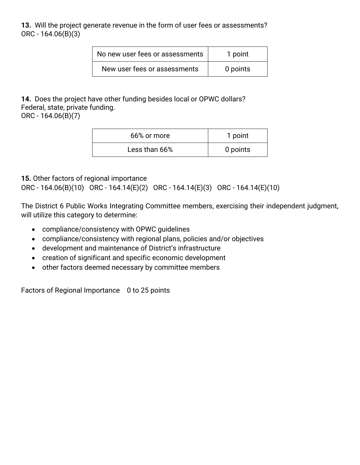**13.** Will the project generate revenue in the form of user fees or assessments? ORC - 164.06(B)(3)

| No new user fees or assessments | 1 point  |
|---------------------------------|----------|
| New user fees or assessments    | 0 points |

**14.** Does the project have other funding besides local or OPWC dollars? Federal, state, private funding.

ORC - 164.06(B)(7)

| 66% or more   | 1 point  |
|---------------|----------|
| Less than 66% | 0 points |

## **15.** Other factors of regional importance

ORC - 164.06(B)(10) ORC - 164.14(E)(2) ORC - 164.14(E)(3) ORC - 164.14(E)(10)

The District 6 Public Works Integrating Committee members, exercising their independent judgment, will utilize this category to determine:

- compliance/consistency with OPWC guidelines
- compliance/consistency with regional plans, policies and/or objectives
- development and maintenance of District's infrastructure
- creation of significant and specific economic development
- other factors deemed necessary by committee members

Factors of Regional Importance 0 to 25 points